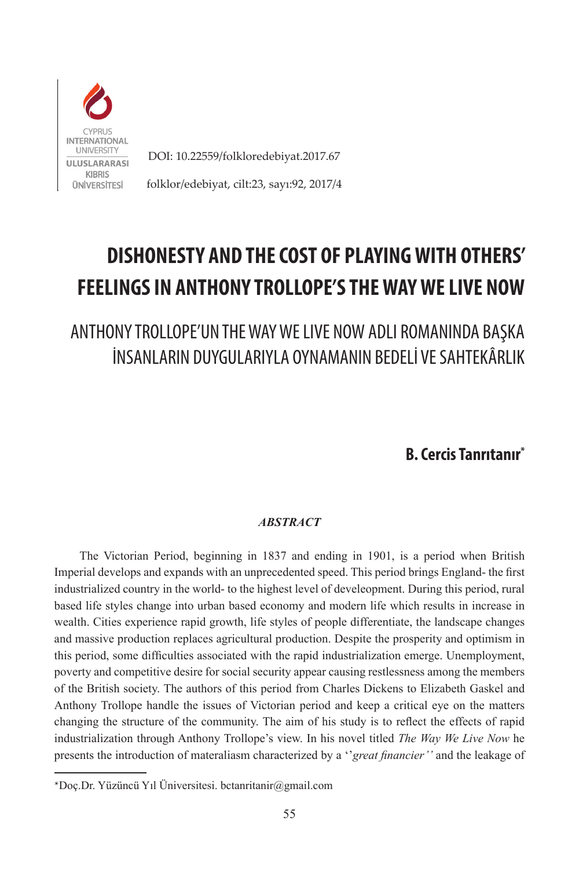

DOI: 10.22559/folkloredebiyat.2017.67

folklor/edebiyat, cilt:23, sayı:92, 2017/4

# **DISHONESTY AND THE COST OF PLAYING WITH OTHERS' FEELINGS IN ANTHONY TROLLOPE'S THE WAY WE LIVE NOW**

ANTHONY TROLLOPE'UN THE WAY WE LIVE NOW ADLI ROMANINDA BAŞKA İNSANLARIN DUYGULARIYLA OYNAMANIN BEDELİ VE SAHTEKÂRLIK

**B. Cercis Tanrıtanır\***

#### *ABSTRACT*

The Victorian Period, beginning in 1837 and ending in 1901, is a period when British Imperial develops and expands with an unprecedented speed. This period brings England- the first industrialized country in the world- to the highest level of develeopment. During this period, rural based life styles change into urban based economy and modern life which results in increase in wealth. Cities experience rapid growth, life styles of people differentiate, the landscape changes and massive production replaces agricultural production. Despite the prosperity and optimism in this period, some difficulties associated with the rapid industrialization emerge. Unemployment, poverty and competitive desire for social security appear causing restlessness among the members of the British society. The authors of this period from Charles Dickens to Elizabeth Gaskel and Anthony Trollope handle the issues of Victorian period and keep a critical eye on the matters changing the structure of the community. The aim of his study is to reflect the effects of rapid industrialization through Anthony Trollope's view. In his novel titled *The Way We Live Now* he presents the introduction of materaliasm characterized by a ''*great financier''* and the leakage of

<sup>\*</sup>Doç.Dr. Yüzüncü Yıl Üniversitesi. bctanritanir@gmail.com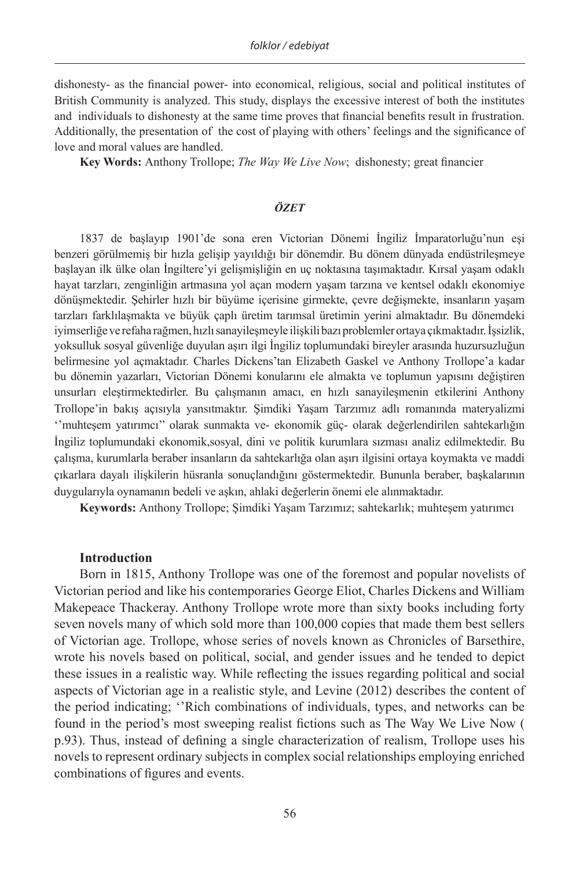dishonesty- as the financial power- into economical, religious, social and political institutes of British Community is analyzed. This study, displays the excessive interest of both the institutes and individuals to dishonesty at the same time proves that financial benefits result in frustration. Additionally, the presentation of the cost of playing with others' feelings and the significance of love and moral values are handled.

**Key Words:** Anthony Trollope; *The Way We Live Now*; dishonesty; great financier

#### *ÖZET*

1837 de başlayıp 1901'de sona eren Victorian Dönemi İngiliz İmparatorluğu'nun eşi benzeri görülmemiş bir hızla gelişip yayıldığı bir dönemdir. Bu dönem dünyada endüstrileşmeye başlayan ilk ülke olan İngiltere'yi gelişmişliğin en uç noktasına taşımaktadır. Kırsal yaşam odaklı hayat tarzları, zenginliğin artmasına yol açan modern yaşam tarzına ve kentsel odaklı ekonomiye dönüşmektedir. Şehirler hızlı bir büyüme içerisine girmekte, çevre değişmekte, insanların yaşam tarzları farklılaşmakta ve büyük çaplı üretim tarımsal üretimin yerini almaktadır. Bu dönemdeki iyimserliğe ve refaha rağmen, hızlı sanayileşmeyle ilişkili bazı problemler ortaya çıkmaktadır. İşsizlik, yoksulluk sosyal güvenliğe duyulan aşırı ilgi İngiliz toplumundaki bireyler arasında huzursuzluğun belirmesine yol açmaktadır. Charles Dickens'tan Elizabeth Gaskel ve Anthony Trollope'a kadar bu dönemin yazarları, Victorian Dönemi konularını ele almakta ve toplumun yapısını değiştiren unsurları eleştirmektedirler. Bu çalışmanın amacı, en hızlı sanayileşmenin etkilerini Anthony Trollope'in bakış açısıyla yansıtmaktır. Şimdiki Yaşam Tarzımız adlı romanında materyalizmi ''muhteşem yatırımcı'' olarak sunmakta ve- ekonomik güç- olarak değerlendirilen sahtekarlığın İngiliz toplumundaki ekonomik,sosyal, dini ve politik kurumlara sızması analiz edilmektedir. Bu çalışma, kurumlarla beraber insanların da sahtekarlığa olan aşırı ilgisini ortaya koymakta ve maddi çıkarlara dayalı ilişkilerin hüsranla sonuçlandığını göstermektedir. Bununla beraber, başkalarının duygularıyla oynamanın bedeli ve aşkın, ahlaki değerlerin önemi ele alınmaktadır.

**Keywords:** Anthony Trollope; Şimdiki Yaşam Tarzımız; sahtekarlık; muhteşem yatırımcı

#### **Introduction**

Born in 1815, Anthony Trollope was one of the foremost and popular novelists of Victorian period and like his contemporaries George Eliot, Charles Dickens and William Makepeace Thackeray. Anthony Trollope wrote more than sixty books including forty seven novels many of which sold more than 100,000 copies that made them best sellers of Victorian age. Trollope, whose series of novels known as Chronicles of Barsethire, wrote his novels based on political, social, and gender issues and he tended to depict these issues in a realistic way. While reflecting the issues regarding political and social aspects of Victorian age in a realistic style, and Levine (2012) describes the content of the period indicating; ''Rich combinations of individuals, types, and networks can be found in the period's most sweeping realist fictions such as The Way We Live Now ( p.93). Thus, instead of defining a single characterization of realism, Trollope uses his novels to represent ordinary subjects in complex social relationships employing enriched combinations of figures and events.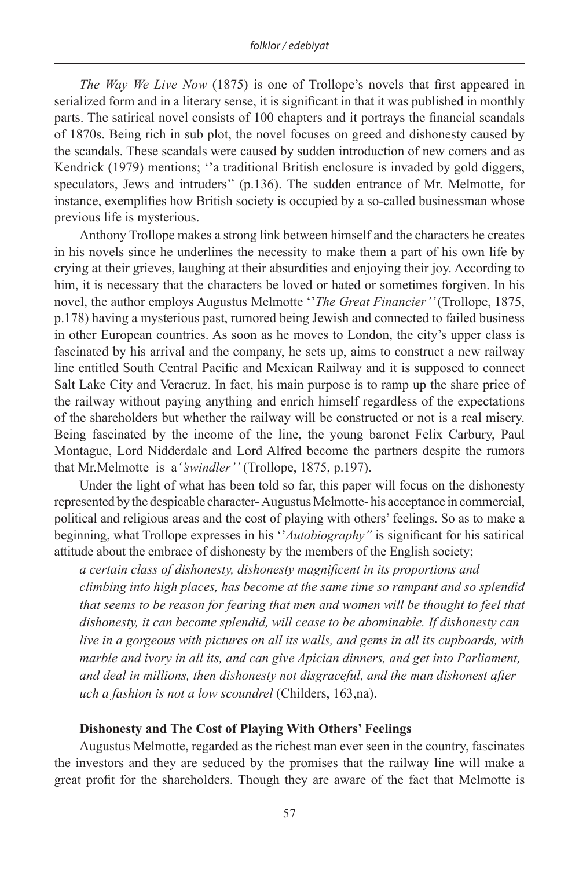*The Way We Live Now* (1875) is one of Trollope's novels that first appeared in serialized form and in a literary sense, it is significant in that it was published in monthly parts. The satirical novel consists of 100 chapters and it portrays the financial scandals of 1870s. Being rich in sub plot, the novel focuses on greed and dishonesty caused by the scandals. These scandals were caused by sudden introduction of new comers and as Kendrick (1979) mentions; ''a traditional British enclosure is invaded by gold diggers, speculators, Jews and intruders'' (p.136). The sudden entrance of Mr. Melmotte, for instance, exemplifies how British society is occupied by a so-called businessman whose previous life is mysterious.

Anthony Trollope makes a strong link between himself and the characters he creates in his novels since he underlines the necessity to make them a part of his own life by crying at their grieves, laughing at their absurdities and enjoying their joy. According to him, it is necessary that the characters be loved or hated or sometimes forgiven. In his novel, the author employs Augustus Melmotte ''*The Great Financier''* (Trollope, 1875, p.178) having a mysterious past, rumored being Jewish and connected to failed business in other European countries. As soon as he moves to London, the city's upper class is fascinated by his arrival and the company, he sets up, aims to construct a new railway line entitled South Central Pacific and Mexican Railway and it is supposed to connect Salt Lake City and Veracruz. In fact, his main purpose is to ramp up the share price of the railway without paying anything and enrich himself regardless of the expectations of the shareholders but whether the railway will be constructed or not is a real misery. Being fascinated by the income of the line, the young baronet Felix Carbury, Paul Montague, Lord Nidderdale and Lord Alfred become the partners despite the rumors that Mr.Melmotte is a*''swindler''* (Trollope, 1875, p.197).

Under the light of what has been told so far, this paper will focus on the dishonesty represented by the despicable character**-** Augustus Melmotte- his acceptance in commercial, political and religious areas and the cost of playing with others' feelings. So as to make a beginning, what Trollope expresses in his ''*Autobiography''* is significant for his satirical attitude about the embrace of dishonesty by the members of the English society;

*a certain class of dishonesty, dishonesty magnificent in its proportions and climbing into high places, has become at the same time so rampant and so splendid that seems to be reason for fearing that men and women will be thought to feel that dishonesty, it can become splendid, will cease to be abominable. If dishonesty can live in a gorgeous with pictures on all its walls, and gems in all its cupboards, with marble and ivory in all its, and can give Apician dinners, and get into Parliament, and deal in millions, then dishonesty not disgraceful, and the man dishonest after uch a fashion is not a low scoundrel* (Childers, 163,na).

### **Dishonesty and The Cost of Playing With Others' Feelings**

Augustus Melmotte, regarded as the richest man ever seen in the country, fascinates the investors and they are seduced by the promises that the railway line will make a great profit for the shareholders. Though they are aware of the fact that Melmotte is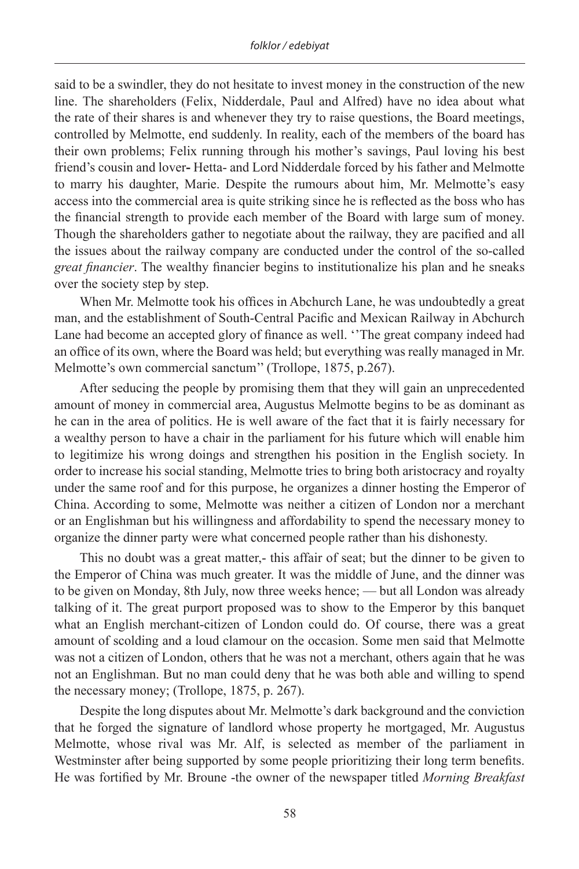said to be a swindler, they do not hesitate to invest money in the construction of the new line. The shareholders (Felix, Nidderdale, Paul and Alfred) have no idea about what the rate of their shares is and whenever they try to raise questions, the Board meetings, controlled by Melmotte, end suddenly. In reality, each of the members of the board has their own problems; Felix running through his mother's savings, Paul loving his best friend's cousin and lover**-** Hetta- and Lord Nidderdale forced by his father and Melmotte to marry his daughter, Marie. Despite the rumours about him, Mr. Melmotte's easy access into the commercial area is quite striking since he is reflected as the boss who has the financial strength to provide each member of the Board with large sum of money. Though the shareholders gather to negotiate about the railway, they are pacified and all the issues about the railway company are conducted under the control of the so-called *great financier*. The wealthy financier begins to institutionalize his plan and he sneaks over the society step by step.

When Mr. Melmotte took his offices in Abchurch Lane, he was undoubtedly a great man, and the establishment of South-Central Pacific and Mexican Railway in Abchurch Lane had become an accepted glory of finance as well. ''The great company indeed had an office of its own, where the Board was held; but everything was really managed in Mr. Melmotte's own commercial sanctum'' (Trollope, 1875, p.267).

After seducing the people by promising them that they will gain an unprecedented amount of money in commercial area, Augustus Melmotte begins to be as dominant as he can in the area of politics. He is well aware of the fact that it is fairly necessary for a wealthy person to have a chair in the parliament for his future which will enable him to legitimize his wrong doings and strengthen his position in the English society. In order to increase his social standing, Melmotte tries to bring both aristocracy and royalty under the same roof and for this purpose, he organizes a dinner hosting the Emperor of China. According to some, Melmotte was neither a citizen of London nor a merchant or an Englishman but his willingness and affordability to spend the necessary money to organize the dinner party were what concerned people rather than his dishonesty.

This no doubt was a great matter,- this affair of seat; but the dinner to be given to the Emperor of China was much greater. It was the middle of June, and the dinner was to be given on Monday, 8th July, now three weeks hence; — but all London was already talking of it. The great purport proposed was to show to the Emperor by this banquet what an English merchant-citizen of London could do. Of course, there was a great amount of scolding and a loud clamour on the occasion. Some men said that Melmotte was not a citizen of London, others that he was not a merchant, others again that he was not an Englishman. But no man could deny that he was both able and willing to spend the necessary money; (Trollope, 1875, p. 267).

Despite the long disputes about Mr. Melmotte's dark background and the conviction that he forged the signature of landlord whose property he mortgaged, Mr. Augustus Melmotte, whose rival was Mr. Alf, is selected as member of the parliament in Westminster after being supported by some people prioritizing their long term benefits. He was fortified by Mr. Broune -the owner of the newspaper titled *Morning Breakfast*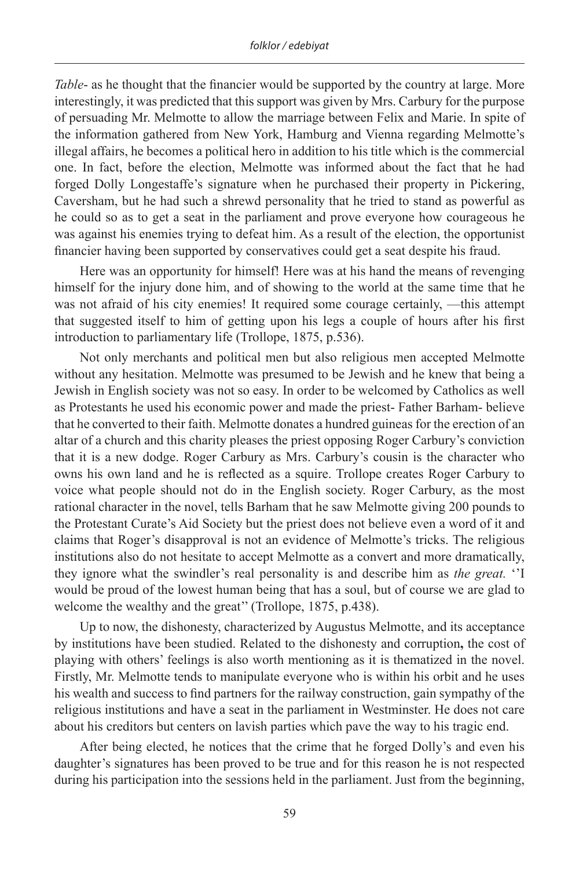*Table*- as he thought that the financier would be supported by the country at large. More interestingly, it was predicted that this support was given by Mrs. Carbury for the purpose of persuading Mr. Melmotte to allow the marriage between Felix and Marie. In spite of the information gathered from New York, Hamburg and Vienna regarding Melmotte's illegal affairs, he becomes a political hero in addition to his title which is the commercial one. In fact, before the election, Melmotte was informed about the fact that he had forged Dolly Longestaffe's signature when he purchased their property in Pickering, Caversham, but he had such a shrewd personality that he tried to stand as powerful as he could so as to get a seat in the parliament and prove everyone how courageous he was against his enemies trying to defeat him. As a result of the election, the opportunist financier having been supported by conservatives could get a seat despite his fraud.

Here was an opportunity for himself! Here was at his hand the means of revenging himself for the injury done him, and of showing to the world at the same time that he was not afraid of his city enemies! It required some courage certainly, —this attempt that suggested itself to him of getting upon his legs a couple of hours after his first introduction to parliamentary life (Trollope, 1875, p.536).

Not only merchants and political men but also religious men accepted Melmotte without any hesitation. Melmotte was presumed to be Jewish and he knew that being a Jewish in English society was not so easy. In order to be welcomed by Catholics as well as Protestants he used his economic power and made the priest- Father Barham- believe that he converted to their faith. Melmotte donates a hundred guineas for the erection of an altar of a church and this charity pleases the priest opposing Roger Carbury's conviction that it is a new dodge. Roger Carbury as Mrs. Carbury's cousin is the character who owns his own land and he is reflected as a squire. Trollope creates Roger Carbury to voice what people should not do in the English society. Roger Carbury, as the most rational character in the novel, tells Barham that he saw Melmotte giving 200 pounds to the Protestant Curate's Aid Society but the priest does not believe even a word of it and claims that Roger's disapproval is not an evidence of Melmotte's tricks. The religious institutions also do not hesitate to accept Melmotte as a convert and more dramatically, they ignore what the swindler's real personality is and describe him as *the great.* ''I would be proud of the lowest human being that has a soul, but of course we are glad to welcome the wealthy and the great'' (Trollope, 1875, p.438).

Up to now, the dishonesty, characterized by Augustus Melmotte, and its acceptance by institutions have been studied. Related to the dishonesty and corruption**,** the cost of playing with others' feelings is also worth mentioning as it is thematized in the novel. Firstly, Mr. Melmotte tends to manipulate everyone who is within his orbit and he uses his wealth and success to find partners for the railway construction, gain sympathy of the religious institutions and have a seat in the parliament in Westminster. He does not care about his creditors but centers on lavish parties which pave the way to his tragic end.

After being elected, he notices that the crime that he forged Dolly's and even his daughter's signatures has been proved to be true and for this reason he is not respected during his participation into the sessions held in the parliament. Just from the beginning,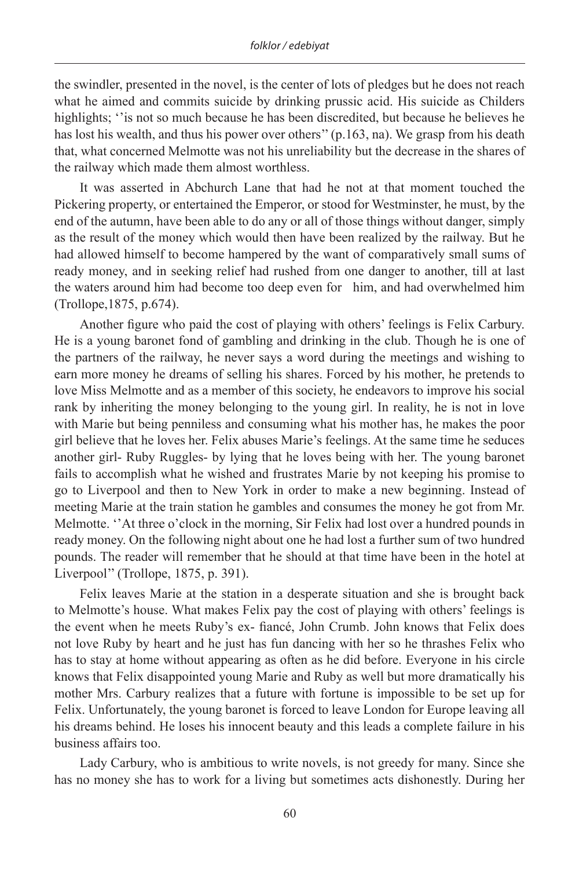the swindler, presented in the novel, is the center of lots of pledges but he does not reach what he aimed and commits suicide by drinking prussic acid. His suicide as Childers highlights; "is not so much because he has been discredited, but because he believes he has lost his wealth, and thus his power over others" (p.163, na). We grasp from his death that, what concerned Melmotte was not his unreliability but the decrease in the shares of the railway which made them almost worthless.

It was asserted in Abchurch Lane that had he not at that moment touched the Pickering property, or entertained the Emperor, or stood for Westminster, he must, by the end of the autumn, have been able to do any or all of those things without danger, simply as the result of the money which would then have been realized by the railway. But he had allowed himself to become hampered by the want of comparatively small sums of ready money, and in seeking relief had rushed from one danger to another, till at last the waters around him had become too deep even for him, and had overwhelmed him (Trollope,1875, p.674).

Another figure who paid the cost of playing with others' feelings is Felix Carbury. He is a young baronet fond of gambling and drinking in the club. Though he is one of the partners of the railway, he never says a word during the meetings and wishing to earn more money he dreams of selling his shares. Forced by his mother, he pretends to love Miss Melmotte and as a member of this society, he endeavors to improve his social rank by inheriting the money belonging to the young girl. In reality, he is not in love with Marie but being penniless and consuming what his mother has, he makes the poor girl believe that he loves her. Felix abuses Marie's feelings. At the same time he seduces another girl- Ruby Ruggles- by lying that he loves being with her. The young baronet fails to accomplish what he wished and frustrates Marie by not keeping his promise to go to Liverpool and then to New York in order to make a new beginning. Instead of meeting Marie at the train station he gambles and consumes the money he got from Mr. Melmotte. ''At three o'clock in the morning, Sir Felix had lost over a hundred pounds in ready money. On the following night about one he had lost a further sum of two hundred pounds. The reader will remember that he should at that time have been in the hotel at Liverpool'' (Trollope, 1875, p. 391).

Felix leaves Marie at the station in a desperate situation and she is brought back to Melmotte's house. What makes Felix pay the cost of playing with others' feelings is the event when he meets Ruby's ex- fiancé, John Crumb. John knows that Felix does not love Ruby by heart and he just has fun dancing with her so he thrashes Felix who has to stay at home without appearing as often as he did before. Everyone in his circle knows that Felix disappointed young Marie and Ruby as well but more dramatically his mother Mrs. Carbury realizes that a future with fortune is impossible to be set up for Felix. Unfortunately, the young baronet is forced to leave London for Europe leaving all his dreams behind. He loses his innocent beauty and this leads a complete failure in his business affairs too.

Lady Carbury, who is ambitious to write novels, is not greedy for many. Since she has no money she has to work for a living but sometimes acts dishonestly. During her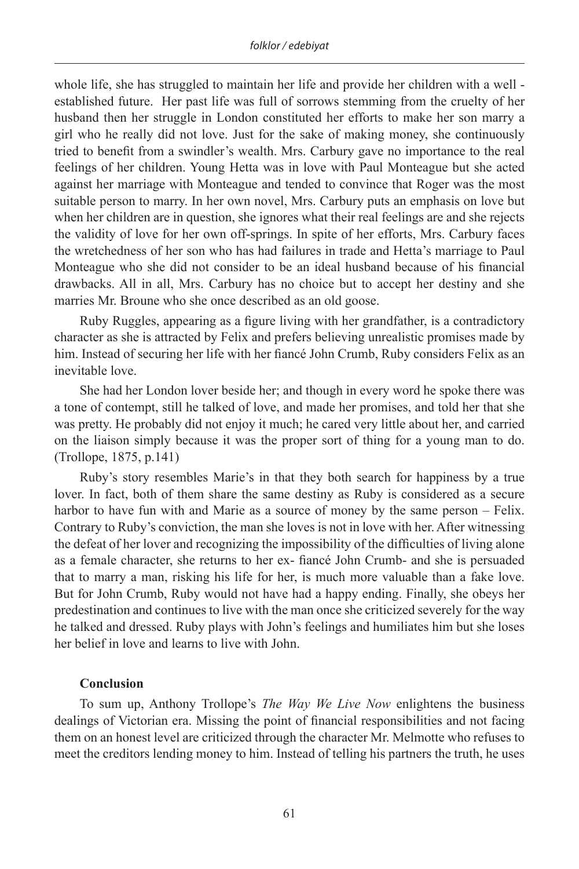whole life, she has struggled to maintain her life and provide her children with a well established future. Her past life was full of sorrows stemming from the cruelty of her husband then her struggle in London constituted her efforts to make her son marry a girl who he really did not love. Just for the sake of making money, she continuously tried to benefit from a swindler's wealth. Mrs. Carbury gave no importance to the real feelings of her children. Young Hetta was in love with Paul Monteague but she acted against her marriage with Monteague and tended to convince that Roger was the most suitable person to marry. In her own novel, Mrs. Carbury puts an emphasis on love but when her children are in question, she ignores what their real feelings are and she rejects the validity of love for her own off-springs. In spite of her efforts, Mrs. Carbury faces the wretchedness of her son who has had failures in trade and Hetta's marriage to Paul Monteague who she did not consider to be an ideal husband because of his financial drawbacks. All in all, Mrs. Carbury has no choice but to accept her destiny and she marries Mr. Broune who she once described as an old goose.

Ruby Ruggles, appearing as a figure living with her grandfather, is a contradictory character as she is attracted by Felix and prefers believing unrealistic promises made by him. Instead of securing her life with her fiancé John Crumb, Ruby considers Felix as an inevitable love.

She had her London lover beside her; and though in every word he spoke there was a tone of contempt, still he talked of love, and made her promises, and told her that she was pretty. He probably did not enjoy it much; he cared very little about her, and carried on the liaison simply because it was the proper sort of thing for a young man to do. (Trollope, 1875, p.141)

Ruby's story resembles Marie's in that they both search for happiness by a true lover. In fact, both of them share the same destiny as Ruby is considered as a secure harbor to have fun with and Marie as a source of money by the same person – Felix. Contrary to Ruby's conviction, the man she loves is not in love with her. After witnessing the defeat of her lover and recognizing the impossibility of the difficulties of living alone as a female character, she returns to her ex- fiancé John Crumb- and she is persuaded that to marry a man, risking his life for her, is much more valuable than a fake love. But for John Crumb, Ruby would not have had a happy ending. Finally, she obeys her predestination and continues to live with the man once she criticized severely for the way he talked and dressed. Ruby plays with John's feelings and humiliates him but she loses her belief in love and learns to live with John.

# **Conclusion**

To sum up, Anthony Trollope's *The Way We Live Now* enlightens the business dealings of Victorian era. Missing the point of financial responsibilities and not facing them on an honest level are criticized through the character Mr. Melmotte who refuses to meet the creditors lending money to him. Instead of telling his partners the truth, he uses